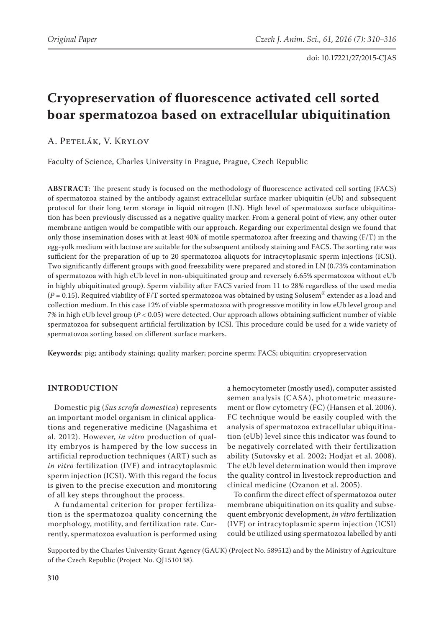# **Cryopreservation of fluorescence activated cell sorted boar spermatozoa based on extracellular ubiquitination**

A. Petelák, V. Krylov

Faculty of Science, Charles University in Prague, Prague, Czech Republic

**ABSTRACT**: The present study is focused on the methodology of fluorescence activated cell sorting (FACS) of spermatozoa stained by the antibody against extracellular surface marker ubiquitin (eUb) and subsequent protocol for their long term storage in liquid nitrogen (LN). High level of spermatozoa surface ubiquitination has been previously discussed as a negative quality marker. From a general point of view, any other outer membrane antigen would be compatible with our approach. Regarding our experimental design we found that only those insemination doses with at least 40% of motile spermatozoa after freezing and thawing (F/T) in the egg-yolk medium with lactose are suitable for the subsequent antibody staining and FACS. The sorting rate was sufficient for the preparation of up to 20 spermatozoa aliquots for intracytoplasmic sperm injections (ICSI). Two significantly different groups with good freezability were prepared and stored in LN (0.73% contamination of spermatozoa with high eUb level in non-ubiquitinated group and reversely 6.65% spermatozoa without eUb in highly ubiquitinated group). Sperm viability after FACS varied from 11 to 28% regardless of the used media  $(P = 0.15)$ . Required viability of F/T sorted spermatozoa was obtained by using Solusem<sup>®</sup> extender as a load and collection medium. In this case 12% of viable spermatozoa with progressive motility in low eUb level group and 7% in high eUb level group (*P* < 0.05) were detected. Our approach allows obtaining sufficient number of viable spermatozoa for subsequent artificial fertilization by ICSI. This procedure could be used for a wide variety of spermatozoa sorting based on different surface markers.

**Keywords**: pig; antibody staining; quality marker; porcine sperm; FACS; ubiquitin; cryopreservation

# **INTRODUCTION**

Domestic pig (*Sus scrofa domestica*) represents an important model organism in clinical applications and regenerative medicine (Nagashima et al. 2012). However, *in vitro* production of quality embryos is hampered by the low success in artificial reproduction techniques (ART) such as *in vitro* fertilization (IVF) and intracytoplasmic sperm injection (ICSI). With this regard the focus is given to the precise execution and monitoring of all key steps throughout the process.

A fundamental criterion for proper fertilization is the spermatozoa quality concerning the morphology, motility, and fertilization rate. Currently, spermatozoa evaluation is performed using a hemocytometer (mostly used), computer assisted semen analysis (CASA), photometric measurement or flow cytometry (FC) (Hansen et al. 2006). FC technique would be easily coupled with the analysis of spermatozoa extracellular ubiquitination (eUb) level since this indicator was found to be negatively correlated with their fertilization ability (Sutovsky et al. 2002; Hodjat et al. 2008). The eUb level determination would then improve the quality control in livestock reproduction and clinical medicine (Ozanon et al. 2005).

To confirm the direct effect of spermatozoa outer membrane ubiquitination on its quality and subsequent embryonic development, *in vitro* fertilization (IVF) or intracytoplasmic sperm injection (ICSI) could be utilized using spermatozoa labelled by anti

Supported by the Charles University Grant Agency (GAUK) (Project No. 589512) and by the Ministry of Agriculture of the Czech Republic (Project No. QJ1510138).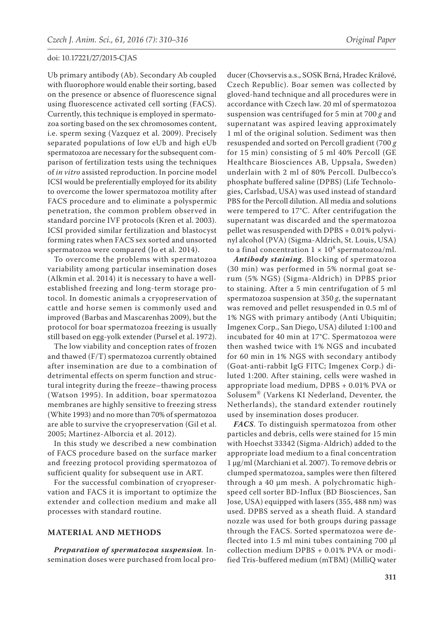Ub primary antibody (Ab). Secondary Ab coupled with fluorophore would enable their sorting, based on the presence or absence of fluorescence signal using fluorescence activated cell sorting (FACS). Currently, this technique is employed in spermatozoa sorting based on the sex chromosomes content, i.e. sperm sexing (Vazquez et al. 2009). Precisely separated populations of low eUb and high eUb spermatozoa are necessary for the subsequent comparison of fertilization tests using the techniques of *in vitro* assisted reproduction. In porcine model ICSI would be preferentially employed for its ability to overcome the lower spermatozoa motility after FACS procedure and to eliminate a polyspermic penetration, the common problem observed in standard porcine IVF protocols (Kren et al. 2003). ICSI provided similar fertilization and blastocyst forming rates when FACS sex sorted and unsorted spermatozoa were compared (Jo et al. 2014).

To overcome the problems with spermatozoa variability among particular insemination doses (Alkmin et al. 2014) it is necessary to have a wellestablished freezing and long-term storage protocol. In domestic animals a cryopreservation of cattle and horse semen is commonly used and improved (Barbas and Mascarenhas 2009), but the protocol for boar spermatozoa freezing is usually still based on egg-yolk extender (Pursel et al. 1972).

The low viability and conception rates of frozen and thawed (F/T) spermatozoa currently obtained after insemination are due to a combination of detrimental effects on sperm function and structural integrity during the freeze–thawing process (Watson 1995). In addition, boar spermatozoa membranes are highly sensitive to freezing stress (White 1993) and no more than 70% of spermatozoa are able to survive the cryopreservation (Gil et al. 2005; Martinez-Alborcia et al. 2012).

In this study we described a new combination of FACS procedure based on the surface marker and freezing protocol providing spermatozoa of sufficient quality for subsequent use in ART.

For the successful combination of cryopreservation and FACS it is important to optimize the extender and collection medium and make all processes with standard routine.

# **MATERIAL AND METHODS**

*Preparation of spermatozoa suspension.* Insemination doses were purchased from local pro-

ducer (Chovservis a.s., SOSK Brná, Hradec Králové, Czech Republic). Boar semen was collected by gloved-hand technique and all procedures were in accordance with Czech law. 20 ml of spermatozoa suspension was centrifuged for 5 min at 700 *g* and supernatant was aspired leaving approximately 1 ml of the original solution. Sediment was then resuspended and sorted on Percoll gradient (700 *g* for 15 min) consisting of 5 ml 40% Percoll (GE Healthcare Biosciences AB, Uppsala, Sweden) underlain with 2 ml of 80% Percoll. Dulbecco's phosphate buffered saline (DPBS) (Life Technologies, Carlsbad, USA) was used instead of standard PBS for the Percoll dilution. All media and solutions were tempered to 17°C. After centrifugation the supernatant was discarded and the spermatozoa pellet was resuspended with DPBS + 0.01% polyvinyl alcohol (PVA) (Sigma-Aldrich, St. Louis, USA) to a final concentration  $1 \times 10^8$  spermatozoa/ml.

*Antibody staining*. Blocking of spermatozoa (30 min) was performed in 5% normal goat serum (5% NGS) (Sigma-Aldrich) in DPBS prior to staining. After a 5 min centrifugation of 5 ml spermatozoa suspension at 350 *g*, the supernatant was removed and pellet resuspended in 0.5 ml of 1% NGS with primary antibody (Anti Ubiquitin; Imgenex Corp., San Diego, USA) diluted 1:100 and incubated for 40 min at 17°C. Spermatozoa were then washed twice with 1% NGS and incubated for 60 min in 1% NGS with secondary antibody (Goat-anti-rabbit IgG FITC; Imgenex Corp.) diluted 1:200. After staining, cells were washed in appropriate load medium, DPBS + 0.01% PVA or Solusem® (Varkens KI Nederland, Deventer, the Netherlands), the standard extender routinely used by insemination doses producer.

*FACS*. To distinguish spermatozoa from other particles and debris, cells were stained for 15 min with Hoechst 33342 (Sigma-Aldrich) added to the appropriate load medium to a final concentration 1 µg/ml (Marchiani et al. 2007). To remove debris or clumped spermatozoa, samples were then filtered through a 40 µm mesh. A polychromatic highspeed cell sorter BD-Influx (BD Biosciences, San Jose, USA) equipped with lasers (355, 488 nm) was used. DPBS served as a sheath fluid. A standard nozzle was used for both groups during passage through the FACS. Sorted spermatozoa were deflected into 1.5 ml mini tubes containing 700 µl collection medium DPBS + 0.01% PVA or modified Tris-buffered medium (mTBM) (MilliQ water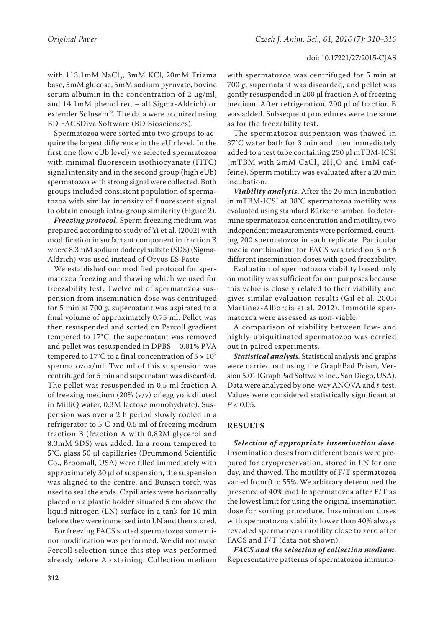with 113.1mM  $NaCl<sub>2</sub>$ , 3mM KCl, 20mM Trizma base, 5mM glucose, 5mM sodium pyruvate, bovine serum albumin in the concentration of  $2 \mu g/ml$ , and 14.1mM phenol red – all Sigma-Aldrich) or extender Solusem®. The data were acquired using BD FACSDiva Software (BD Biosciences).

Spermatozoa were sorted into two groups to acquire the largest difference in the eUb level. In the first one (low eUb level) we selected spermatozoa with minimal fluorescein isothiocyanate (FITC) signal intensity and in the second group (high eUb) spermatozoa with strong signal were collected. Both groups included consistent population of spermatozoa with similar intensity of fluorescent signal to obtain enough intra-group similarity (Figure 2).

*Freezing protocol*. Sperm freezing medium was prepared according to study of Yi et al. (2002) with modification in surfactant component in fraction B where 8.3mM sodium dodecyl sulfate (SDS) (Sigma-Aldrich) was used instead of Orvus ES Paste.

We established our modified protocol for spermatozoa freezing and thawing which we used for freezability test. Twelve ml of spermatozoa suspension from insemination dose was centrifuged for 5 min at 700 *g*, supernatant was aspirated to a final volume of approximately 0.75 ml. Pellet was then resuspended and sorted on Percoll gradient tempered to 17°C, the supernatant was removed and pellet was resuspended in DPBS + 0.01% PVA tempered to 17°C to a final concentration of  $5 \times 10^7$ spermatozoa/ml. Two ml of this suspension was centrifuged for 5 min and supernatant was discarded. The pellet was resuspended in 0.5 ml fraction A of freezing medium (20% (v/v) of egg yolk diluted in MilliQ water, 0.3M lactose monohydrate). Suspension was over a 2 h period slowly cooled in a refrigerator to 5°C and 0.5 ml of freezing medium fraction B (fraction A with 0.82M glycerol and 8.3mM SDS) was added. In a room tempered to 5°C, glass 50 µl capillaries (Drummond Scientific Co., Broomall, USA) were filled immediately with approximately  $30 \mu l$  of suspension, the suspension was aligned to the centre, and Bunsen torch was used to seal the ends. Capillaries were horizontally placed on a plastic holder situated 5 cm above the liquid nitrogen (LN) surface in a tank for 10 min before they were immersed into LN and then stored.

For freezing FACS sorted spermatozoa some minor modification was performed. We did not make Percoll selection since this step was performed already before Ab staining. Collection medium

with spermatozoa was centrifuged for 5 min at 700 *g*, supernatant was discarded, and pellet was gently resuspended in 200 µl fraction A of freezing medium. After refrigeration, 200 µl of fraction B was added. Subsequent procedures were the same as for the freezability test.

The spermatozoa suspension was thawed in 37°C water bath for 3 min and then immediately added to a test tube containing 250 µl mTBM-ICSI (mTBM with  $2mM$  CaCl<sub>2</sub>  $2H_2O$  and  $1mM$  caffeine). Sperm motility was evaluated after a 20 min incubation.

*Viability analysis*. After the 20 min incubation in mTBM-ICSI at 38°C spermatozoa motility was evaluated using standard Bürker chamber. To determine spermatozoa concentration and motility, two independent measurements were performed, counting 200 spermatozoa in each replicate. Particular media combination for FACS was tried on 5 or 6 different insemination doses with good freezability.

Evaluation of spermatozoa viability based only on motility was sufficient for our purposes because this value is closely related to their viability and gives similar evaluation results (Gil et al. 2005; Martinez-Alborcia et al. 2012). Immotile spermatozoa were assessed as non-viable.

A comparison of viability between low- and highly-ubiquitinated spermatozoa was carried out in paired experiments.

*Statistical analysis.* Statistical analysis and graphs were carried out using the GraphPad Prism, Version 5.01 (GraphPad Software Inc., San Diego, USA). Data were analyzed by one-way ANOVA and *t*-test. Values were considered statistically significant at  $P < 0.05$ .

# **RESULTS**

*Selection of appropriate insemination dose*. Insemination doses from different boars were prepared for cryopreservation, stored in LN for one day, and thawed. The motility of F/T spermatozoa varied from 0 to 55%. We arbitrary determined the presence of 40% motile spermatozoa after F/T as the lowest limit for using the original insemination dose for sorting procedure. Insemination doses with spermatozoa viability lower than 40% always revealed spermatozoa motility close to zero after FACS and F/T (data not shown).

*FACS and the selection of collection medium.*  Representative patterns of spermatozoa immuno-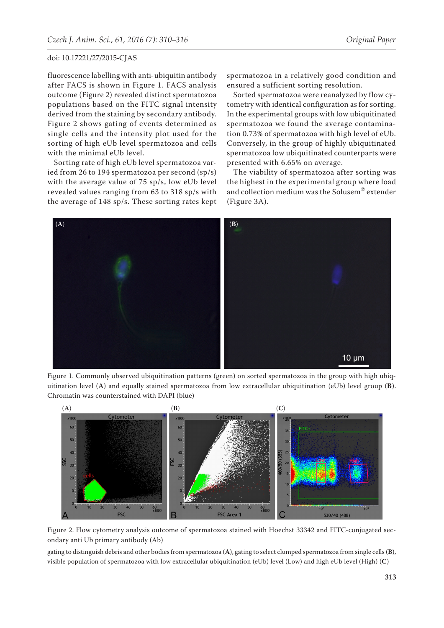fluorescence labelling with anti-ubiquitin antibody after FACS is shown in Figure 1. FACS analysis outcome (Figure 2) revealed distinct spermatozoa populations based on the FITC signal intensity derived from the staining by secondary antibody. Figure 2 shows gating of events determined as single cells and the intensity plot used for the sorting of high eUb level spermatozoa and cells with the minimal eUb level.

Sorting rate of high eUb level spermatozoa varied from 26 to 194 spermatozoa per second (sp/s) with the average value of 75 sp/s, low eUb level revealed values ranging from 63 to 318 sp/s with the average of 148 sp/s. These sorting rates kept spermatozoa in a relatively good condition and ensured a sufficient sorting resolution.

Sorted spermatozoa were reanalyzed by flow cytometry with identical configuration as for sorting. In the experimental groups with low ubiquitinated spermatozoa we found the average contamination 0.73% of spermatozoa with high level of eUb. Conversely, in the group of highly ubiquitinated spermatozoa low ubiquitinated counterparts were presented with 6.65% on average.

The viability of spermatozoa after sorting was the highest in the experimental group where load and collection medium was the Solusem® extender (Figure 3A).



Figure 1. Commonly observed ubiquitination patterns (green) on sorted spermatozoa in the group with high ubiquitination level (**A**) and equally stained spermatozoa from low extracellular ubiquitination (eUb) level group (**B**). Chromatin was counterstained with DAPI (blue)



Figure 2. Flow cytometry analysis outcome of spermatozoa stained with Hoechst 33342 and FITC-conjugated secondary anti Ub primary antibody (Ab)

gating to distinguish debris and other bodies from spermatozoa (**A**), gating to select clumped spermatozoa from single cells (**B**), visible population of spermatozoa with low extracellular ubiquitination (eUb) level (Low) and high eUb level (High) (**C**)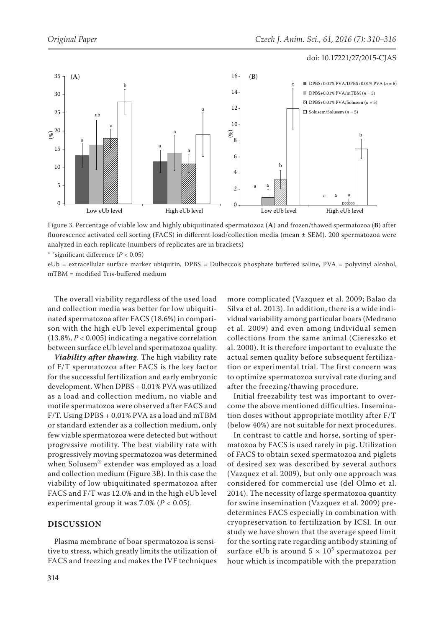

DPBS+0.01% PVA/mTBM (*n* = 5)

Figure 3. Percentage of viable low and highly ubiquitinated spermatozoa (**A**) and frozen/thawed spermatozoa (**B**) after fluorescence activated cell sorting **(**FACS) in different load/collection media (mean ± SEM). 200 spermatozoa were analyzed in each replicate (numbers of replicates are in brackets)

a<sup>-c</sup>significant difference ( $P < 0.05$ )

eUb = extracellular surface marker ubiquitin, DPBS = Dulbecco's phosphate buffered saline, PVA = polyvinyl alcohol, mTBM = modified Tris-buffered medium

The overall viability regardless of the used load and collection media was better for low ubiquitinated spermatozoa after FACS (18.6%) in comparison with the high eUb level experimental group (13.8%, *P* < 0.005) indicating a negative correlation between surface eUb level and spermatozoa quality.

*Viability after thawing*. The high viability rate of F/T spermatozoa after FACS is the key factor for the successful fertilization and early embryonic development. When DPBS + 0.01% PVA was utilized as a load and collection medium, no viable and motile spermatozoa were observed after FACS and F/T. Using DPBS + 0.01% PVA as a load and mTBM or standard extender as a collection medium, only few viable spermatozoa were detected but without progressive motility. The best viability rate with progressively moving spermatozoa was determined when Solusem® extender was employed as a load and collection medium (Figure 3B). In this case the viability of low ubiquitinated spermatozoa after FACS and F/T was 12.0% and in the high eUb level experimental group it was 7.0% (*P* < 0.05).

# **DISCUSSION**

Plasma membrane of boar spermatozoa is sensitive to stress, which greatly limits the utilization of FACS and freezing and makes the IVF techniques

more complicated (Vazquez et al. 2009; Balao da Silva et al. 2013). In addition, there is a wide individual variability among particular boars (Medrano et al. 2009) and even among individual semen collections from the same animal (Ciereszko et al. 2000). It is therefore important to evaluate the actual semen quality before subsequent fertilization or experimental trial. The first concern was to optimize spermatozoa survival rate during and after the freezing/thawing procedure.

Initial freezability test was important to overcome the above mentioned difficulties. Insemination doses without appropriate motility after F/T (below 40%) are not suitable for next procedures.

In contrast to cattle and horse, sorting of spermatozoa by FACS is used rarely in pig. Utilization of FACS to obtain sexed spermatozoa and piglets of desired sex was described by several authors (Vazquez et al. 2009), but only one approach was considered for commercial use (del Olmo et al. 2014). The necessity of large spermatozoa quantity for swine insemination (Vazquez et al. 2009) predetermines FACS especially in combination with cryopreservation to fertilization by ICSI. In our study we have shown that the average speed limit for the sorting rate regarding antibody staining of surface eUb is around  $5 \times 10^5$  spermatozoa per hour which is incompatible with the preparation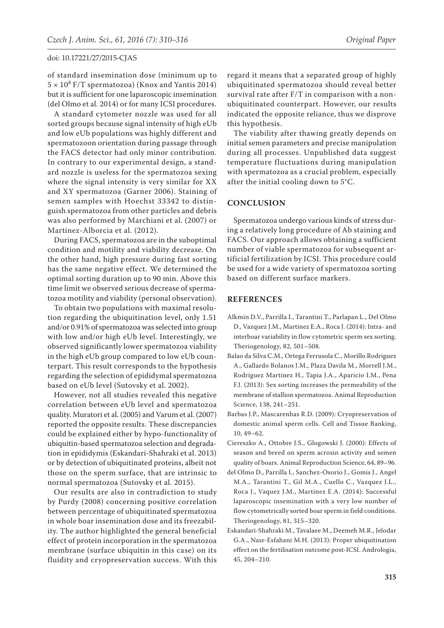of standard insemination dose (minimum up to  $5 \times 10^8$  F/T spermatozoa) (Knox and Yantis 2014) but it is sufficient for one laparoscopic insemination (del Olmo et al. 2014) or for many ICSI procedures.

A standard cytometer nozzle was used for all sorted groups because signal intensity of high eUb and low eUb populations was highly different and spermatozoon orientation during passage through the FACS detector had only minor contribution. In contrary to our experimental design, a standard nozzle is useless for the spermatozoa sexing where the signal intensity is very similar for XX and XY spermatozoa (Garner 2006). Staining of semen samples with Hoechst 33342 to distinguish spermatozoa from other particles and debris was also performed by Marchiani et al. (2007) or Martinez-Alborcia et al. (2012).

During FACS, spermatozoa are in the suboptimal condition and motility and viability decrease. On the other hand, high pressure during fast sorting has the same negative effect. We determined the optimal sorting duration up to 90 min. Above this time limit we observed serious decrease of spermatozoa motility and viability (personal observation).

To obtain two populations with maximal resolution regarding the ubiquitination level, only 1.51 and/or 0.91% of spermatozoa was selected into group with low and/or high eUb level. Interestingly, we observed significantly lower spermatozoa viability in the high eUb group compared to low eUb counterpart. This result corresponds to the hypothesis regarding the selection of epididymal spermatozoa based on eUb level (Sutovsky et al. 2002).

However, not all studies revealed this negative correlation between eUb level and spermatozoa quality. Muratori et al. (2005) and Varum et al. (2007) reported the opposite results. These discrepancies could be explained either by hypo-functionality of ubiquitin-based spermatozoa selection and degradation in epididymis (Eskandari-Shahraki et al. 2013) or by detection of ubiquitinated proteins, albeit not those on the sperm surface, that are intrinsic to normal spermatozoa (Sutovsky et al. 2015).

Our results are also in contradiction to study by Purdy (2008) concerning positive correlation between percentage of ubiquitinated spermatozoa in whole boar insemination dose and its freezability. The author highlighted the general beneficial effect of protein incorporation in the spermatozoa membrane (surface ubiquitin in this case) on its fluidity and cryopreservation success. With this

regard it means that a separated group of highly ubiquitinated spermatozoa should reveal better survival rate after F/T in comparison with a nonubiquitinated counterpart. However, our results indicated the opposite reliance, thus we disprove this hypothesis.

The viability after thawing greatly depends on initial semen parameters and precise manipulation during all processes. Unpublished data suggest temperature fluctuations during manipulation with spermatozoa as a crucial problem, especially after the initial cooling down to 5°C.

# **CONCLUSION**

Spermatozoa undergo various kinds of stress during a relatively long procedure of Ab staining and FACS. Our approach allows obtaining a sufficient number of viable spermatozoa for subsequent artificial fertilization by ICSI. This procedure could be used for a wide variety of spermatozoa sorting based on different surface markers.

### **REFERENCES**

- Alkmin D.V., Parrilla I., Tarantini T., Parlapan L., Del Olmo D., Vazquez J.M., Martinez E.A., Roca J. (2014): Intra- and interboar variability in flow cytometric sperm sex sorting. Theriogenology, 82, 501–508.
- Balao da Silva C.M., Ortega Ferrusola C., Morillo Rodriguez A., Gallardo Bolanos J.M., Plaza Davila M., Morrell J.M., Rodriguez Martinez H., Tapia J.A., Aparicio I.M., Pena F.J. (2013): Sex sorting increases the permeability of the membrane of stallion spermatozoa. Animal Reproduction Science, 138, 241–251.
- Barbas J.P., Mascarenhas R.D. (2009): Cryopreservation of domestic animal sperm cells. Cell and Tissue Banking, 10, 49–62.
- Ciereszko A., Ottobre J.S., Glogowski J. (2000): Effects of season and breed on sperm acrosin activity and semen quality of boars. Animal Reproduction Science, 64, 89–96.
- del Olmo D., Parrilla I., Sanchez-Osorio J., Gomis J., Angel M.A., Tarantini T., Gil M.A., Cuello C., Vazquez J.L., Roca J., Vaquez J.M., Martinez E.A. (2014): Successful laparoscopic insemination with a very low number of flow cytometrically sorted boar sperm in field conditions. Theriogenology, 81, 315–320.
- Eskandari-Shahraki M., Tavalaee M., Deemeh M.R., Jelodar G.A., Nasr-Esfahani M.H. (2013): Proper ubiquitination effect on the fertilisation outcome post-ICSI. Andrologia, 45, 204–210.